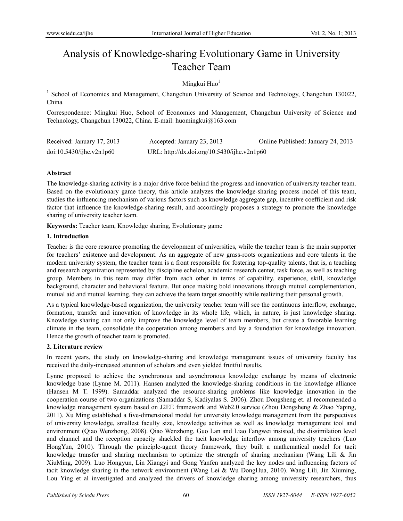# Analysis of Knowledge-sharing Evolutionary Game in University Teacher Team

Mingkui  $Huo<sup>1</sup>$ 

<sup>1</sup> School of Economics and Management, Changchun University of Science and Technology, Changchun 130022, China

Correspondence: Mingkui Huo, School of Economics and Management, Changchun University of Science and Technology, Changchun 130022, China. E-mail: huomingkui@163.com

| Received: January 17, 2013 | Accepted: January 23, 2013                  | Online Published: January 24, 2013 |
|----------------------------|---------------------------------------------|------------------------------------|
| doi:10.5430/ijhe.v2n1p60   | URL: http://dx.doi.org/10.5430/ijhe.v2n1p60 |                                    |

# **Abstract**

The knowledge-sharing activity is a major drive force behind the progress and innovation of university teacher team. Based on the evolutionary game theory, this article analyzes the knowledge-sharing process model of this team, studies the influencing mechanism of various factors such as knowledge aggregate gap, incentive coefficient and risk factor that influence the knowledge-sharing result, and accordingly proposes a strategy to promote the knowledge sharing of university teacher team.

**Keywords:** Teacher team, Knowledge sharing, Evolutionary game

# **1. Introduction**

Teacher is the core resource promoting the development of universities, while the teacher team is the main supporter for teachers' existence and development. As an aggregate of new grass-roots organizations and core talents in the modern university system, the teacher team is a front responsible for fostering top-quality talents, that is, a teaching and research organization represented by discipline echelon, academic research center, task force, as well as teaching group. Members in this team may differ from each other in terms of capability, experience, skill, knowledge background, character and behavioral feature. But once making bold innovations through mutual complementation, mutual aid and mutual learning, they can achieve the team target smoothly while realizing their personal growth.

As a typical knowledge-based organization, the university teacher team will see the continuous interflow, exchange, formation, transfer and innovation of knowledge in its whole life, which, in nature, is just knowledge sharing. Knowledge sharing can not only improve the knowledge level of team members, but create a favorable learning climate in the team, consolidate the cooperation among members and lay a foundation for knowledge innovation. Hence the growth of teacher team is promoted.

# **2. Literature review**

In recent years, the study on knowledge-sharing and knowledge management issues of university faculty has received the daily-increased attention of scholars and even yielded fruitful results.

Lynne proposed to achieve the synchronous and asynchronous knowledge exchange by means of electronic knowledge base (Lynne M. 2011). Hansen analyzed the knowledge-sharing conditions in the knowledge alliance (Hansen M T. 1999). Samaddar analyzed the resource-sharing problems like knowledge innovation in the cooperation course of two organizations (Samaddar S, Kadiyalas S. 2006). Zhou Dongsheng et. al recommended a knowledge management system based on J2EE framework and Web2.0 service (Zhou Dongsheng & Zhao Yaping, 2011). Xu Ming established a five-dimensional model for university knowledge management from the perspectives of university knowledge, smallest faculty size, knowledge activities as well as knowledge management tool and environment (Qiao Wenzhong, 2008). Qiao Wenzhong, Guo Lan and Liao Fangwei insisted, the dissimilation level and channel and the reception capacity shackled the tacit knowledge interflow among university teachers (Luo HongYun, 2010). Through the principle-agent theory framework, they built a mathematical model for tacit knowledge transfer and sharing mechanism to optimize the strength of sharing mechanism (Wang Lili & Jin XiuMing, 2009). Luo Hongyun, Lin Xiangyi and Gong Yanfen analyzed the key nodes and influencing factors of tacit knowledge sharing in the network environment (Wang Lei & Wu DongHua, 2010). Wang Lili, Jin Xiuming, Lou Ying et al investigated and analyzed the drivers of knowledge sharing among university researchers, thus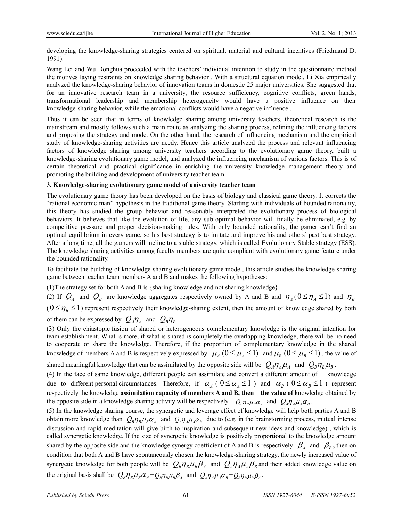developing the knowledge-sharing strategies centered on spiritual, material and cultural incentives (Friedmand D. 1991).

Wang Lei and Wu Donghua proceeded with the teachers' individual intention to study in the questionnaire method the motives laying restraints on knowledge sharing behavior . With a structural equation model, Li Xia empirically analyzed the knowledge-sharing behavior of innovation teams in domestic 25 major universities. She suggested that for an innovative research team in a university, the resource sufficiency, cognitive conflicts, green hands, transformational leadership and membership heterogeneity would have a positive influence on their knowledge-sharing behavior, while the emotional conflicts would have a negative influence .

Thus it can be seen that in terms of knowledge sharing among university teachers, theoretical research is the mainstream and mostly follows such a main route as analyzing the sharing process, refining the influencing factors and proposing the strategy and mode. On the other hand, the research of influencing mechanism and the empirical study of knowledge-sharing activities are needy. Hence this article analyzed the process and relevant influencing factors of knowledge sharing among university teachers according to the evolutionary game theory, built a knowledge-sharing evolutionary game model, and analyzed the influencing mechanism of various factors. This is of certain theoretical and practical significance in enriching the university knowledge management theory and promoting the building and development of university teacher team.

# **3. Knowledge-sharing evolutionary game model of university teacher team**

The evolutionary game theory has been developed on the basis of biology and classical game theory. It corrects the "rational economic man" hypothesis in the traditional game theory. Starting with individuals of bounded rationality, this theory has studied the group behavior and reasonably interpreted the evolutionary process of biological behaviors. It believes that like the evolution of life, any sub-optimal behavior will finally be eliminated, e.g. by competitive pressure and proper decision-making rules. With only bounded rationality, the gamer can't find an optimal equilibrium in every game, so his best strategy is to imitate and improve his and others' past best strategy. After a long time, all the gamers will incline to a stable strategy, which is called Evolutionary Stable strategy (ESS). The knowledge sharing activities among faculty members are quite compliant with evolutionary game feature under the bounded rationality.

To facilitate the building of knowledge-sharing evolutionary game model, this article studies the knowledge-sharing game between teacher team members A and B and makes the following hypotheses:

(1)The strategy set for both A and B is {sharing knowledge and not sharing knowledge}.

(2) If  $Q_A$  and  $Q_B$  are knowledge aggregates respectively owned by A and B and  $\eta_A (0 \le \eta_A \le 1)$  and  $\eta_B$  $(0 \le \eta_B \le 1)$  represent respectively their knowledge-sharing extent, then the amount of knowledge shared by both

of them can be expressed by  $Q_A \eta_A$  and  $Q_B \eta_B$ .

(3) Only the chiastopic fusion of shared or heterogeneous complementary knowledge is the original intention for team establishment. What is more, if what is shared is completely the overlapping knowledge, there will be no need to cooperate or share the knowledge. Therefore, if the proportion of complementary knowledge in the shared knowledge of members A and B is respectively expressed by  $\mu_A$  ( $0 \le \mu_A \le 1$ ) and  $\mu_B$  ( $0 \le \mu_B \le 1$ ), the value of

shared meaningful knowledge that can be assimilated by the opposite side will be  $Q_A \eta_A \mu_A$  and  $Q_B \eta_B \mu_B$ .

(4) In the face of same knowledge, different people can assimilate and convert a different amount of knowledge due to different personal circumstances. Therefore, if  $\alpha_A$  ( $0 \le \alpha_A \le 1$ ) and  $\alpha_B$  ( $0 \le \alpha_B \le 1$ ) represent respectively the knowledge **assimilation capacity of members A and B, then the value of** knowledge obtained by the opposite side in a knowledge sharing activity will be respectively  $Q_R \eta_R \mu_R \alpha_A$  and  $Q_A \eta_A \mu_A \alpha_R$ .

(5) In the knowledge sharing course, the synergetic and leverage effect of knowledge will help both parties A and B obtain more knowledge than  $Q_B \eta_B \mu_B \alpha_A$  and  $Q_A \eta_A \mu_A \alpha_B$  due to (e.g. in the brainstorming process, mutual intense discussion and rapid meditation will give birth to inspiration and subsequent new ideas and knowledge) , which is called synergetic knowledge. If the size of synergetic knowledge is positively proportional to the knowledge amount shared by the opposite side and the knowledge synergy coefficient of A and B is respectively  $\beta_A$  and  $\beta_B$ , then on condition that both A and B have spontaneously chosen the knowledge-sharing strategy, the newly increased value of synergetic knowledge for both people will be  $Q_B \eta_B \mu_B \beta_A$  and  $Q_A \eta_A \mu_A \beta_B$  and their added knowledge value on the original basis shall be  $Q_B \eta_B \mu_B \alpha_A + Q_B \eta_B \mu_B \beta_A$  and  $Q_A \eta_A \mu_A \alpha_B + Q_B \eta_B \mu_B \beta_A$ .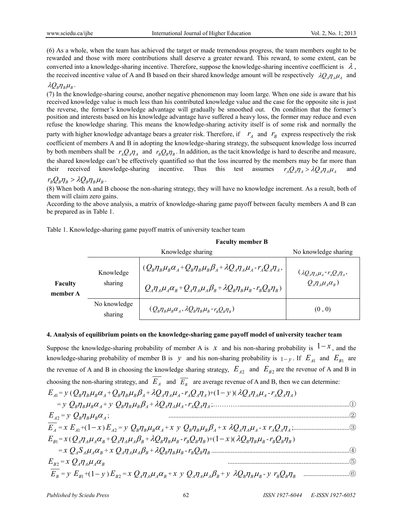(6) As a whole, when the team has achieved the target or made tremendous progress, the team members ought to be rewarded and those with more contributions shall deserve a greater reward. This reward, to some extent, can be converted into a knowledge-sharing incentive. Therefore, suppose the knowledge-sharing incentive coefficient is  $\lambda$ , the received incentive value of A and B based on their shared knowledge amount will be respectively  $\lambda Q_i \eta_i \mu_i$  and

## $\lambda Q_B \eta_B \mu_B$ .

(7) In the knowledge-sharing course, another negative phenomenon may loom large. When one side is aware that his received knowledge value is much less than his contributed knowledge value and the case for the opposite site is just the reverse, the former's knowledge advantage will gradually be smoothed out. On condition that the former's position and interests based on his knowledge advantage have suffered a heavy loss, the former may reduce and even refuse the knowledge sharing. This means the knowledge-sharing activity itself is of some risk and normally the party with higher knowledge advantage bears a greater risk. Therefore, if  $r_A$  and  $r_B$  express respectively the risk coefficient of members A and B in adopting the knowledge-sharing strategy, the subsequent knowledge loss incurred by both members shall be  $r_A Q_A \eta_A$  and  $r_B Q_B \eta_B$ . In addition, as the tacit knowledge is hard to describe and measure, the shared knowledge can't be effectively quantified so that the loss incurred by the members may be far more than their received knowledge-sharing incentive. Thus this test assumes  $r_A Q_A \eta_A > \lambda Q_A \eta_A \mu_A$  and

# $r_B Q_B \eta_B > \lambda Q_B \eta_B \mu_B$ .

(8) When both A and B choose the non-sharing strategy, they will have no knowledge increment. As a result, both of them will claim zero gains.

According to the above analysis, a matrix of knowledge-sharing game payoff between faculty members A and B can be prepared as in Table 1.

Table 1. Knowledge-sharing game payoff matrix of university teacher team

|                            |                         | <b>Faculty member B</b>                                                                                                                                                                                                                                                                                                                                                                                                                                                                                            |                                                                                   |  |
|----------------------------|-------------------------|--------------------------------------------------------------------------------------------------------------------------------------------------------------------------------------------------------------------------------------------------------------------------------------------------------------------------------------------------------------------------------------------------------------------------------------------------------------------------------------------------------------------|-----------------------------------------------------------------------------------|--|
|                            |                         | Knowledge sharing                                                                                                                                                                                                                                                                                                                                                                                                                                                                                                  | No knowledge sharing                                                              |  |
| <b>Faculty</b><br>member A | Knowledge<br>sharing    | $(Q_{\scriptscriptstyle B}\eta_{\scriptscriptstyle B}\mu_{\scriptscriptstyle B}\alpha_{\scriptscriptstyle A} + Q_{\scriptscriptstyle B}\eta_{\scriptscriptstyle B}\mu_{\scriptscriptstyle B}\beta_{\scriptscriptstyle A} + \lambda Q_{\scriptscriptstyle A}\eta_{\scriptscriptstyle A}\mu_{\scriptscriptstyle A} - r_{\scriptscriptstyle A}Q_{\scriptscriptstyle A}\eta_{\scriptscriptstyle A}$<br>$Q_{A}\eta_{A}\mu_{A}\alpha_{B}+Q_{A}\eta_{A}\mu_{A}\beta_{B}+\lambda Q_{B}\eta_{B}\mu_{B}-r_{B}Q_{B}\eta_{B})$ | $(\lambda Q_A \eta_A \mu_A - r_A Q_A \eta_A,$<br>$Q_{A}\eta_{A}\mu_{A}\alpha_{B}$ |  |
|                            | No knowledge<br>sharing | $(Q_{\scriptscriptstyle R}\eta_{\scriptscriptstyle R}\mu_{\scriptscriptstyle R}\alpha_{\scriptscriptstyle A},\lambda Q_{\scriptscriptstyle R}\eta_{\scriptscriptstyle R}\mu_{\scriptscriptstyle R}\cdot r_{\scriptscriptstyle R}Q_{\scriptscriptstyle R}\eta_{\scriptscriptstyle R})$                                                                                                                                                                                                                              | (0, 0)                                                                            |  |

#### **4. Analysis of equilibrium points on the knowledge-sharing game payoff model of university teacher team**

Suppose the knowledge-sharing probability of member A is *x* and his non-sharing probability is  $1-x$ , and the knowledge-sharing probability of member B is *y* and his non-sharing probability is  $1 - y$ . If  $E_{A1}$  and  $E_{B1}$  are the revenue of A and B in choosing the knowledge sharing strategy,  $E_{A2}$  and  $E_{B2}$  are the revenue of A and B in choosing the non-sharing strategy, and  $\overline{E}_A$  and  $\overline{E}_B$  are average revenue of A and B, then we can determine:  $E_{41} = y (Q_{B} \eta_{B} \mu_{B} \alpha_{A} + Q_{B} \eta_{B} \mu_{B} \beta_{A} + \lambda Q_{A} \eta_{A} \mu_{A} - r_{A} Q_{A} \eta_{A}) + (1 - y) (\lambda Q_{A} \eta_{A} \mu_{A} - r_{A} Q_{A} \eta_{A})$ 

$$
E_{A2} = y Q_{B} \eta_{B} \mu_{B} \alpha_{A} + y Q_{B} \eta_{B} \mu_{B} \beta_{A} + \lambda Q_{A} \eta_{A} \mu_{A} - r_{A} Q_{A} \eta_{A};
$$
\n
$$
E_{A2} = y Q_{B} \eta_{B} \mu_{B} \alpha_{A};
$$
\n
$$
E_{A} = x E_{A1} + (1 - x) E_{A2} = y Q_{B} \eta_{B} \mu_{B} \alpha_{A} + x y Q_{B} \eta_{B} \mu_{B} \beta_{A} + x \lambda Q_{A} \eta_{A} \mu_{A} - x r_{A} Q_{A} \eta_{A};
$$
\n
$$
E_{B1} = x (Q_{A} \eta_{A} \mu_{A} \alpha_{B} + Q_{A} \eta_{A} \mu_{A} \beta_{B} + \lambda Q_{B} \eta_{B} \mu_{B} - r_{B} Q_{B} \eta_{B}) + (1 - x) (\lambda Q_{B} \eta_{B} \mu_{B} - r_{B} Q_{B} \eta_{B})
$$
\n
$$
= x Q_{A} S_{A} \mu_{A} \alpha_{B} + x Q_{A} \eta_{A} \mu_{A} \beta_{B} + \lambda Q_{B} \eta_{B} \mu_{B} - r_{B} Q_{B} \eta_{B} ...
$$
\n
$$
E_{B2} = x Q_{A} \eta_{A} \mu_{A} \alpha_{B}
$$
\n
$$
E_{B3} = y E_{B1} + (1 - y) E_{B2} = x Q_{A} \eta_{A} \mu_{A} \alpha_{B} + x y Q_{A} \eta_{A} \mu_{A} \beta_{B} + y \lambda Q_{B} \eta_{B} \mu_{B} - y r_{B} Q_{B} \eta_{B}
$$
\n
$$
= 0
$$
\n
$$
E_{B3} = y E_{B1} + (1 - y) E_{B2} = x Q_{A} \eta_{A} \mu_{A} \alpha_{B} + x y Q_{A} \eta_{A} \mu_{A} \beta_{B} + y \lambda Q_{B} \eta_{B} \mu_{B} - y r_{B} Q_{B} \eta_{B}
$$
\n
$$
= 0
$$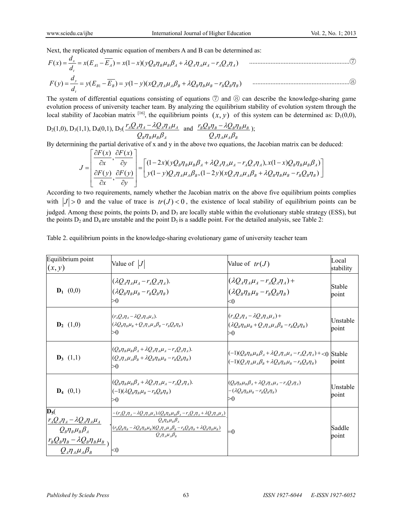Next, the replicated dynamic equation of members A and B can be determined as:

( ) ( ) (1 )( ) *<sup>A</sup>*<sup>1</sup> *<sup>A</sup> <sup>B</sup> <sup>B</sup> <sup>B</sup> <sup>A</sup> <sup>A</sup> <sup>A</sup> <sup>A</sup> <sup>A</sup> <sup>A</sup> <sup>A</sup> t <sup>x</sup> <sup>x</sup> <sup>E</sup> <sup>E</sup> <sup>x</sup> <sup>x</sup> yQ <sup>Q</sup> <sup>r</sup> <sup>Q</sup> <sup>d</sup> <sup>d</sup> <sup>F</sup> <sup>x</sup>* .............................................................<sup>⑦</sup> *d*

$$
F(y) = \frac{a_y}{d_t} = y(E_{B1} - \overline{E_B}) = y(1 - y)(xQ_A \eta_A \mu_A \beta_B + \lambda Q_B \eta_B \mu_B - r_B Q_B \eta_B)
$$
 (1.10)

The system of differential equations consisting of equations  $\circled{7}$  and  $\circled{8}$  can describe the knowledge-sharing game evolution process of university teacher team. By analyzing the equilibrium stability of evolution system through the local stability of Jacobian matrix <sup>[16]</sup>, the equilibrium points  $(x, y)$  of this system can be determined as: D<sub>1</sub>(0,0),

$$
D_2(1,0), D_3(1,1), D_4(0,1), D_5(\frac{r_AQ_A\eta_A - \lambda Q_A\eta_A\mu_A}{Q_B\eta_B\mu_B\beta_A} \text{ and } \frac{r_BQ_B\eta_B - \lambda Q_B\eta_B\mu_B}{Q_A\eta_A\mu_A\beta_B});
$$

By determining the partial derivative of x and y in the above two equations, the Jacobian matrix can be deduced:

$$
J = \begin{bmatrix} \frac{\partial F(x)}{\partial x}, \frac{\partial F(x)}{\partial y} \\ \frac{\partial F(y)}{\partial x}, \frac{\partial F(y)}{\partial y} \end{bmatrix} = \begin{bmatrix} (1-2x)(yQ_B\eta_B\mu_B\beta_A + \lambda Q_A\eta_A\mu_A - r_AQ_A\eta_A), x(1-x)Q_B\eta_B\mu_B\beta_A) \\ y(1-y)Q_A\eta_A\mu_A\beta_B, (1-2y)(xQ_A\eta_A\mu_A\beta_B + \lambda Q_B\eta_B\mu_B - r_BQ_B\eta_B) \end{bmatrix}
$$

According to two requirements, namely whether the Jacobian matrix on the above five equilibrium points complies with  $|J| > 0$  and the value of trace is  $tr(J) < 0$ , the existence of local stability of equilibrium points can be judged. Among these points, the points  $D_1$  and  $D_3$  are locally stable within the evolutionary stable strategy (ESS), but the points  $D_2$  and  $D_4$  are unstable and the point  $D_5$  is a saddle point. For the detailed analysis, see Table 2:

Table 2. equilibrium points in the knowledge-sharing evolutionary game of university teacher team

| Equilibrium point<br>(x, y)                                                                                                                                           | Value of $ J $                                                                                                                                                                                                                                                                                                                                                                                      | Value of $tr(J)$                                                                                                                                                                                                                                                                                                                             | Local<br>stability       |
|-----------------------------------------------------------------------------------------------------------------------------------------------------------------------|-----------------------------------------------------------------------------------------------------------------------------------------------------------------------------------------------------------------------------------------------------------------------------------------------------------------------------------------------------------------------------------------------------|----------------------------------------------------------------------------------------------------------------------------------------------------------------------------------------------------------------------------------------------------------------------------------------------------------------------------------------------|--------------------------|
| ${\bf D}_1$ (0,0)                                                                                                                                                     | $(\lambda Q_4 \eta_4 \mu_4 - r_4 Q_4 \eta_4).$<br>$(\lambda Q_{\scriptscriptstyle R}\eta_{\scriptscriptstyle R}\mu_{\scriptscriptstyle R}-r_{\scriptscriptstyle R}Q_{\scriptscriptstyle R}\eta_{\scriptscriptstyle R})$<br>>0                                                                                                                                                                       | $(\lambda Q_4 \eta_A \mu_A - r_A Q_4 \eta_A) +$<br>$(\lambda Q_{\scriptscriptstyle R}\eta_{\scriptscriptstyle R}\mu_{\scriptscriptstyle R}-r_{\scriptscriptstyle R}Q_{\scriptscriptstyle R}\eta_{\scriptscriptstyle R})$<br>< 0                                                                                                              | Stable<br>point          |
| $D_2$ (1,0)                                                                                                                                                           | $(r_A Q_A \eta_A - \lambda Q_A \eta_A \mu_A).$<br>$(\lambda Q_B \eta_B \mu_B + Q_A \eta_A \mu_A \beta_B - r_B Q_B \eta_B)$<br>>0                                                                                                                                                                                                                                                                    | $(r_A Q_A \eta_A - \lambda Q_A \eta_A \mu_A) +$<br>$(\lambda Q_{\scriptscriptstyle R}\eta_{\scriptscriptstyle R}\mu_{\scriptscriptstyle R} + Q_{\scriptscriptstyle A}\eta_{\scriptscriptstyle A}\mu_{\scriptscriptstyle A}\beta_{\scriptscriptstyle R} - r_{\scriptscriptstyle R}Q_{\scriptscriptstyle R}\eta_{\scriptscriptstyle R})$<br>>0 | <b>Unstable</b><br>point |
| $D_3$ (1,1)                                                                                                                                                           | $(Q_{\scriptscriptstyle B}\eta_{\scriptscriptstyle B}\mu_{\scriptscriptstyle B}\beta_{\scriptscriptstyle A}+\lambda Q_{\scriptscriptstyle A}\eta_{\scriptscriptstyle A}\mu_{\scriptscriptstyle A}-r_{\scriptscriptstyle A}Q_{\scriptscriptstyle A}\eta_{\scriptscriptstyle A}).$<br>$(Q_A \eta_A \mu_A \beta_B + \lambda Q_B \eta_B \mu_B - r_B Q_B \eta_B)$<br>>0                                  | $(-1)(Q_B \eta_B \mu_B \beta_A + \lambda Q_A \eta_A \mu_A - r_A Q_A \eta_A) + c_0$ Stable<br>$(-1)(Q_A \eta_A \mu_A \beta_B + \lambda Q_B \eta_B \mu_B - r_B Q_B \eta_B)$                                                                                                                                                                    | point                    |
| ${\bf D}_4$ (0,1)                                                                                                                                                     | $(Q_B \eta_B \mu_B \beta_A + \lambda Q_A \eta_A \mu_A - r_A Q_A \eta_A).$<br>$(-1)(\lambda Q_B \eta_B \mu_B - r_B Q_B \eta_B)$<br>>0                                                                                                                                                                                                                                                                | $(Q_B \eta_B \mu_B \beta_A + \lambda Q_A \eta_A \mu_A - r_A Q_A \eta_A)$<br>$-(\lambda Q_B \eta_B \mu_B - r_B Q_B \eta_B)$<br>>0                                                                                                                                                                                                             | Unstable<br>point        |
| $D_5($<br>$r_A Q_A \eta_A - \lambda Q_A \eta_A \mu_A$<br>$Q_{B}\eta_{B}\mu_{B}\beta_{A}$<br>$r_B Q_B \eta_B - \lambda Q_B \eta_B \mu_B$<br>$Q_A \eta_A \mu_A \beta_B$ | $-(r_AQ_A\eta_A-\lambda Q_A\eta_A\mu_A). (Q_B\eta_B\mu_B\beta_A-r_AQ_A\eta_A+\lambda Q_A\eta_A\mu_A)$<br>$O_{\scriptscriptstyle B}\eta_{\scriptscriptstyle B}\mu_{\scriptscriptstyle B}\beta_{\scriptscriptstyle A}$<br>$(r_B Q_B \eta_B - \lambda Q_B \eta_B \mu_B)(Q_A \eta_A \mu_A \beta_B - r_B Q_B \eta_B + \lambda Q_B \eta_B \mu_B)$<br>$Q_{\eta} \eta_{\mu} \mu_{\eta} \beta_{\eta}$<br>< 0 | $= 0$                                                                                                                                                                                                                                                                                                                                        | Saddle<br>point          |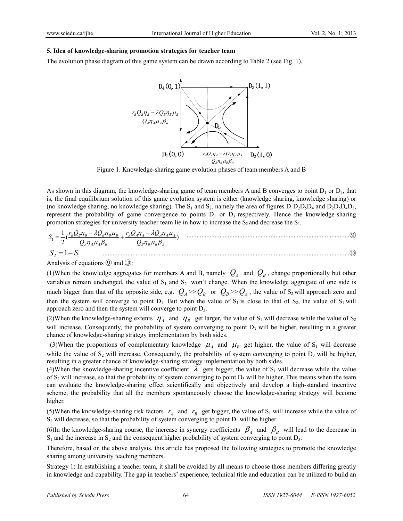### **5. Idea of knowledge-sharing promotion strategies for teacher team**

The evolution phase diagram of this game system can be drawn according to Table 2 (see Fig. 1).



Figure 1. Knowledge-sharing game evolution phases of team members A and B

As shown in this diagram, the knowledge-sharing game of team members A and B converges to point  $D_1$  or  $D_3$ , that is, the final equilibrium solution of this game evolution system is either (knowledge sharing, knowledge sharing) or (no knowledge sharing, no knowledge sharing). The S<sub>1</sub> and S<sub>2</sub>, namely the area of figures  $D_1D_2D_5D_4$  and  $D_2D_5D_4D_3$ , represent the probability of game convergence to points  $D_1$  or  $D_3$  respectively. Hence the knowledge-sharing promotion strategies for university teacher team lie in how to increase the  $S_2$  and decrease the  $S_1$ .

$$
S_1 = \frac{1}{2} \left( \frac{r_B Q_B \eta_B - \lambda Q_B \eta_B \mu_B}{Q_A \eta_A \mu_A \beta_B} + \frac{r_A Q_A \eta_A - \lambda Q_A \eta_A \mu_A}{Q_B \eta_B \mu_B \beta_A} \right)
$$
 (1001)

Analysis of equations ⑨ and ⑩:

(1)When the knowledge aggregates for members A and B, namely  $Q_A$  and  $Q_B$ , change proportionally but other variables remain unchanged, the value of  $S_1$  and  $S_2$  won't change. When the knowledge aggregate of one side is much bigger than that of the opposite side, e.g.  $Q_A \gg Q_B$  or  $Q_B \gg Q_A$ , the value of S<sub>2</sub> will approach zero and then the system will converge to point  $D_1$ . But when the value of  $S_1$  is close to that of  $S_2$ , the value of  $S_1$  will approach zero and then the system will converge to point  $D_3$ .

(2)When the knowledge-sharing extents  $\eta_A$  and  $\eta_B$  get larger, the value of S<sub>1</sub> will decrease while the value of S<sub>2</sub> will increase. Consequently, the probability of system converging to point  $D<sub>3</sub>$  will be higher, resulting in a greater chance of knowledge-sharing strategy implementation by both sides.

(3)When the proportions of complementary knowledge  $\mu_A$  and  $\mu_B$  get higher, the value of S<sub>1</sub> will decrease while the value of  $S_2$  will increase. Consequently, the probability of system converging to point  $D_3$  will be higher, resulting in a greater chance of knowledge-sharing strategy implementation by both sides.

(4)When the knowledge-sharing incentive coefficient  $\lambda$  gets bigger, the value of S<sub>1</sub> will decrease while the value of  $S_2$  will increase, so that the probability of system converging to point  $D_3$  will be higher. This means when the team can **e**valuate the knowledge-sharing effect scientifically and objectively and develop a high-standard incentive scheme, the probability that all the members spontaneously choose the knowledge-sharing strategy will become higher.

(5)When the knowledge-sharing risk factors  $r_A$  and  $r_B$  get bigger, the value of S<sub>1</sub> will increase while the value of  $S_2$  will decrease, so that the probability of system converging to point  $D_1$  will be higher.

(6)In the knowledge-sharing course, the increase in synergy coefficients  $\beta_A$  and  $\beta_B$  will lead to the decrease in  $S_1$  and the increase in  $S_2$  and the consequent higher probability of system converging to point  $D_3$ .

Therefore, based on the above analysis, this article has proposed the following strategies to promote the knowledge sharing among university teaching members.

Strategy 1: In establishing a teacher team, it shall be avoided by all means to choose those members differing greatly in knowledge and capability. The gap in teachers' experience, technical title and education can be utilized to build an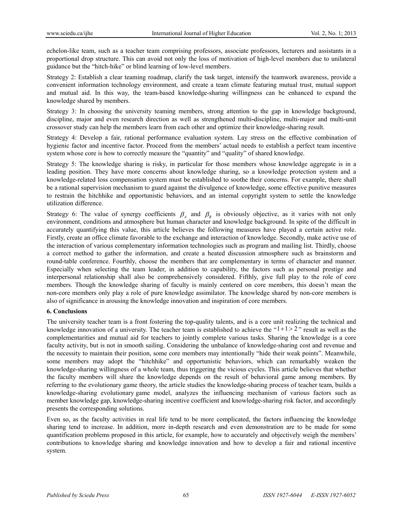echelon-like team, such as a teacher team comprising professors, associate professors, lecturers and assistants in a proportional drop structure. This can avoid not only the loss of motivation of high-level members due to unilateral guidance but the "hitch-hike" or blind learning of low-level members.

Strategy 2: Establish a clear teaming roadmap, clarify the task target, intensify the teamwork awareness, provide a convenient information technology environment, and create a team climate featuring mutual trust, mutual support and mutual aid. In this way, the team-based knowledge-sharing willingness can be enhanced to expand the knowledge shared by members.

Strategy 3: In choosing the university teaming members, strong attention to the gap in knowledge background, discipline, major and even research direction as well as strengthened multi**-**discipline, multi-major and multi-unit crossover study can help the members learn from each other and optimize their knowledge-sharing result.

Strategy 4: Develop a fair, rational performance evaluation system. Lay stress on the effective combination of hygienic factor and incentive factor. Proceed from the members' actual needs to establish a perfect team incentive system whose core is how to correctly measure the "quantity" and "quality" of shared knowledge.

Strategy 5: The knowledge sharing is risky, in particular for those members whose knowledge aggregate is in a leading position. They have more concerns about knowledge sharing, so a knowledge protection system and a knowledge-related loss compensation system must be established to soothe their concerns. For example, there shall be a rational supervision mechanism to guard against the divulgence of knowledge, some effective punitive measures to restrain the hitchhike and opportunistic behaviors, and an internal copyright system to settle the knowledge utilization difference.

Strategy 6: The value of synergy coefficients  $\beta_{\mu}$  and  $\beta_{\mu}$  is obviously objective, as it varies with not only environment, conditions and atmosphere but human character and knowledge background. In spite of the difficult in accurately quantifying this value, this article believes the following measures have played a certain active role. Firstly, create an office climate favorable to the exchange and interaction of knowledge. Secondly, make active use of the interaction of various complementary information technologies such as program and mailing list. Thirdly, choose a correct method to gather the information, and create a heated discussion atmosphere such as brainstorm and round-table conference. Fourthly, choose the members that are complementary in terms of character and manner. Especially when selecting the team leader, in addition to capability, the factors such as personal prestige and interpersonal relationship shall also be comprehensively considered. Fifthly, give full play to the role of core members. Though the knowledge sharing of faculty is mainly centered on core members, this doesn't mean the non-core members only play a role of pure knowledge assimilator. The knowledge shared by non-core members is also of significance in arousing the knowledge innovation and inspiration of core members.

# **6. Conclusions**

The university teacher team is a front fostering the top-quality talents, and is a core unit realizing the technical and knowledge innovation of a university. The teacher team is established to achieve the " $1+1>2$ " result as well as the complementarities and mutual aid for teachers to jointly complete various tasks. Sharing the knowledge is a core faculty activity, but is not in smooth sailing. Considering the unbalance of knowledge-sharing cost and revenue and the necessity to maintain their position, some core members may intentionally "hide their weak points". Meanwhile, some members may adopt the "hitchhike" and opportunistic behaviors, which can remarkably weaken the knowledge-sharing willingness of a whole team, thus triggering the vicious cycles. This article believes that whether the faculty members will share the knowledge depends on the result of behavioral game among members. By referring to the evolutionary game theory, the article studies the knowledge-sharing process of teacher team, builds a knowledge-sharing evolutionary game model, analyzes the influencing mechanism of various factors such as member knowledge gap, knowledge-sharing incentive coefficient and knowledge-sharing risk factor, and accordingly presents the corresponding solutions.

Even so, as the faculty activities in real life tend to be more complicated, the factors influencing the knowledge sharing tend to increase. In addition, more in-depth research and even demonstration are to be made for some quantification problems proposed in this article, for example, how to accurately and objectively weigh the members' contributions to knowledge sharing and knowledge innovation and how to develop a fair and rational incentive system.